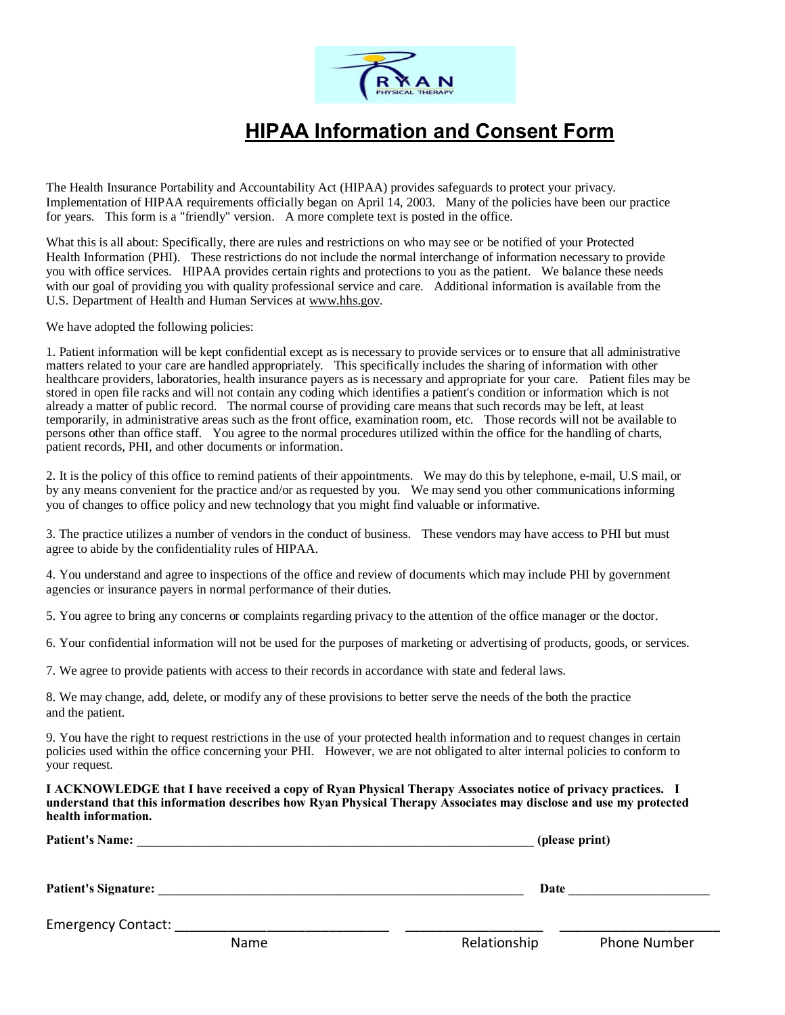

## **HIPAA Information and Consent Form**

The Health Insurance Portability and Accountability Act (HIPAA) provides safeguards to protect your privacy. Implementation of HIPAA requirements officially began on April 14, 2003. Many of the policies have been our practice for years. This form is a "friendly" version. A more complete text is posted in the office.

What this is all about: Specifically, there are rules and restrictions on who may see or be notified of your Protected Health Information (PHI). These restrictions do not include the normal interchange of information necessary to provide you with office services. HIPAA provides certain rights and protections to you as the patient. We balance these needs with our goal of providing you with quality professional service and care. Additional information is available from the U.S. Department of Health and Human Services at [www.hhs.gov.](http://www.hhs.gov/)

We have adopted the following policies:

1. Patient information will be kept confidential except as is necessary to provide services or to ensure that all administrative matters related to your care are handled appropriately. This specifically includes the sharing of information with other healthcare providers, laboratories, health insurance payers as is necessary and appropriate for your care. Patient files may be stored in open file racks and will not contain any coding which identifies a patient's condition or information which is not already a matter of public record. The normal course of providing care means that such records may be left, at least temporarily, in administrative areas such as the front office, examination room, etc. Those records will not be available to persons other than office staff. You agree to the normal procedures utilized within the office for the handling of charts, patient records, PHI, and other documents or information.

2. It is the policy of this office to remind patients of their appointments. We may do this by telephone, e-mail, U.S mail, or by any means convenient for the practice and/or as requested by you. We may send you other communications informing you of changes to office policy and new technology that you might find valuable or informative.

3. The practice utilizes a number of vendors in the conduct of business. These vendors may have access to PHI but must agree to abide by the confidentiality rules of HIPAA.

4. You understand and agree to inspections of the office and review of documents which may include PHI by government agencies or insurance payers in normal performance of their duties.

5. You agree to bring any concerns or complaints regarding privacy to the attention of the office manager or the doctor.

6. Your confidential information will not be used for the purposes of marketing or advertising of products, goods, or services.

7. We agree to provide patients with access to their records in accordance with state and federal laws.

8. We may change, add, delete, or modify any of these provisions to better serve the needs of the both the practice and the patient.

9. You have the right to request restrictions in the use of your protected health information and to request changes in certain policies used within the office concerning your PHI. However, we are not obligated to alter internal policies to conform to your request.

**I ACKNOWLEDGE that I have received a copy of Ryan Physical Therapy Associates notice of privacy practices. I understand that this information describes how Ryan Physical Therapy Associates may disclose and use my protected health information.**

| <b>Patient's Name:</b>      |      | (please print) |                     |  |  |
|-----------------------------|------|----------------|---------------------|--|--|
| <b>Patient's Signature:</b> | Date |                |                     |  |  |
| <b>Emergency Contact:</b>   |      |                |                     |  |  |
|                             | Name | Relationship   | <b>Phone Number</b> |  |  |